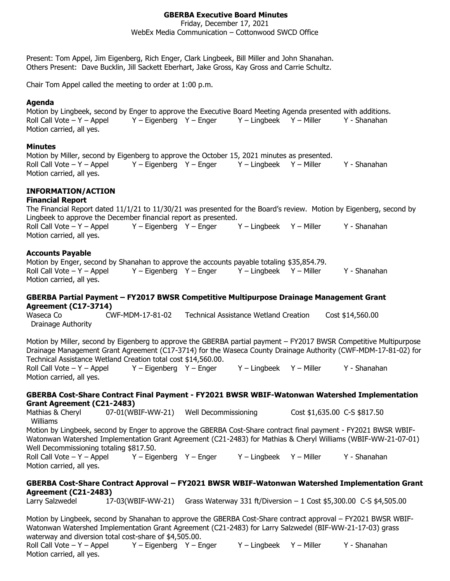## **GBERBA Executive Board Minutes**

Friday, December 17, 2021

WebEx Media Communication – Cottonwood SWCD Office

Present: Tom Appel, Jim Eigenberg, Rich Enger, Clark Lingbeek, Bill Miller and John Shanahan. Others Present: Dave Bucklin, Jill Sackett Eberhart, Jake Gross, Kay Gross and Carrie Schultz.

Chair Tom Appel called the meeting to order at 1:00 p.m.

#### **Agenda**

Motion by Lingbeek, second by Enger to approve the Executive Board Meeting Agenda presented with additions. Roll Call Vote – Y – Appel Y – Eigenberg Y – Enger Y – Lingbeek Y – Miller Y - Shanahan Motion carried, all yes.

#### **Minutes**

Motion by Miller, second by Eigenberg to approve the October 15, 2021 minutes as presented. Roll Call Vote – Y – Appel Y – Eigenberg Y – Enger Y – Lingbeek Y – Miller Y - Shanahan Motion carried, all yes.

# **INFORMATION/ACTION**

#### **Financial Report**

The Financial Report dated 11/1/21 to 11/30/21 was presented for the Board's review. Motion by Eigenberg, second by Lingbeek to approve the December financial report as presented. Roll Call Vote – Y – Appel Y – Eigenberg Y – Enger Y – Lingbeek Y – Miller Y - Shanahan Motion carried, all yes.

### **Accounts Payable**

Motion by Enger, second by Shanahan to approve the accounts payable totaling \$35,854.79. Roll Call Vote – Y – Appel Y – Eigenberg Y – Enger Y – Lingbeek Y – Miller Y - Shanahan Motion carried, all yes.

### **GBERBA Partial Payment – FY2017 BWSR Competitive Multipurpose Drainage Management Grant Agreement (C17-3714)**

Waseca Co CWF-MDM-17-81-02 Technical Assistance Wetland Creation Cost \$14,560.00 Drainage Authority

Motion by Miller, second by Eigenberg to approve the GBERBA partial payment – FY2017 BWSR Competitive Multipurpose Drainage Management Grant Agreement (C17-3714) for the Waseca County Drainage Authority (CWF-MDM-17-81-02) for Technical Assistance Wetland Creation total cost \$14,560.00.

Roll Call Vote – Y – Appel Y – Eigenberg Y – Enger Y – Lingbeek Y – Miller Y - Shanahan Motion carried, all yes.

#### **GBERBA Cost-Share Contract Final Payment - FY2021 BWSR WBIF-Watonwan Watershed Implementation Grant Agreement (C21-2483)**

Mathias & Cheryl 07-01(WBIF-WW-21) Well Decommissioning Cost \$1,635.00 C-S \$817.50 Williams Motion by Lingbeek, second by Enger to approve the GBERBA Cost-Share contract final payment - FY2021 BWSR WBIF-Watonwan Watershed Implementation Grant Agreement (C21-2483) for Mathias & Cheryl Williams (WBIF-WW-21-07-01) Well Decommissioning totaling \$817.50. Roll Call Vote – Y – Appel Y – Eigenberg Y – Enger Y – Lingbeek Y – Miller Y - Shanahan Motion carried, all yes.

### **GBERBA Cost-Share Contract Approval – FY2021 BWSR WBIF-Watonwan Watershed Implementation Grant Agreement (C21-2483)**

Larry Salzwedel 17-03(WBIF-WW-21) Grass Waterway 331 ft/Diversion – 1 Cost \$5,300.00 C-S \$4,505.00

Motion by Lingbeek, second by Shanahan to approve the GBERBA Cost-Share contract approval – FY2021 BWSR WBIF-Watonwan Watershed Implementation Grant Agreement (C21-2483) for Larry Salzwedel (BIF-WW-21-17-03) grass waterway and diversion total cost-share of \$4,505.00.

Roll Call Vote – Y – Appel Y – Eigenberg Y – Enger Y – Lingbeek Y – Miller Y - Shanahan Motion carried, all yes.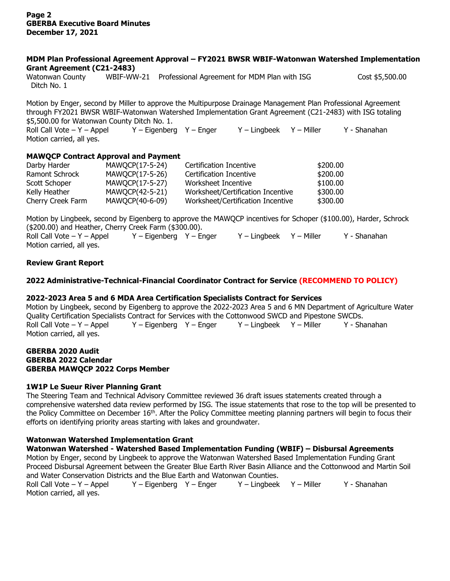#### **MDM Plan Professional Agreement Approval – FY2021 BWSR WBIF-Watonwan Watershed Implementation Grant Agreement (C21-2483)**

Watonwan County WBIF-WW-21 Professional Agreement for MDM Plan with ISG Cost \$5,500.00 Ditch No. 1

Motion by Enger, second by Miller to approve the Multipurpose Drainage Management Plan Professional Agreement through FY2021 BWSR WBIF-Watonwan Watershed Implementation Grant Agreement (C21-2483) with ISG totaling \$5,500.00 for Watonwan County Ditch No. 1.

Roll Call Vote – Y – Appel Y – Eigenberg Y – Enger Y – Lingbeek Y – Miller Y - Shanahan Motion carried, all yes.

## **MAWQCP Contract Approval and Payment**

| Darby Harder      | MAWQCP(17-5-24) | Certification Incentive           | \$200.00 |
|-------------------|-----------------|-----------------------------------|----------|
| Ramont Schrock    | MAWQCP(17-5-26) | Certification Incentive           | \$200.00 |
| Scott Schoper     | MAWQCP(17-5-27) | Worksheet Incentive               | \$100.00 |
| Kelly Heather     | MAWQCP(42-5-21) | Worksheet/Certification Incentive | \$300.00 |
| Cherry Creek Farm | MAWQCP(40-6-09) | Worksheet/Certification Incentive | \$300.00 |

Motion by Lingbeek, second by Eigenberg to approve the MAWQCP incentives for Schoper (\$100.00), Harder, Schrock (\$200.00) and Heather, Cherry Creek Farm (\$300.00). Roll Call Vote – Y – Appel Y – Eigenberg Y – Enger Y – Lingbeek Y – Miller Y - Shanahan Motion carried, all yes.

## **Review Grant Report**

## **2022 Administrative-Technical-Financial Coordinator Contract for Service (RECOMMEND TO POLICY)**

### **2022-2023 Area 5 and 6 MDA Area Certification Specialists Contract for Services**

Motion by Lingbeek, second by Eigenberg to approve the 2022-2023 Area 5 and 6 MN Department of Agriculture Water Quality Certification Specialists Contract for Services with the Cottonwood SWCD and Pipestone SWCDs. Roll Call Vote – Y – Appel Y – Eigenberg Y – Enger Y – Lingbeek Y – Miller Y - Shanahan Motion carried, all yes.

## **GBERBA 2020 Audit GBERBA 2022 Calendar GBERBA MAWQCP 2022 Corps Member**

### **1W1P Le Sueur River Planning Grant**

The Steering Team and Technical Advisory Committee reviewed 36 draft issues statements created through a comprehensive watershed data review performed by ISG. The issue statements that rose to the top will be presented to the Policy Committee on December  $16<sup>th</sup>$ . After the Policy Committee meeting planning partners will begin to focus their efforts on identifying priority areas starting with lakes and groundwater.

## **Watonwan Watershed Implementation Grant**

## **Watonwan Watershed - Watershed Based Implementation Funding (WBIF) – Disbursal Agreements**

Motion by Enger, second by Lingbeek to approve the Watonwan Watershed Based Implementation Funding Grant Proceed Disbursal Agreement between the Greater Blue Earth River Basin Alliance and the Cottonwood and Martin Soil and Water Conservation Districts and the Blue Earth and Watonwan Counties.

Roll Call Vote – Y – Appel Y – Eigenberg Y – Enger Y – Lingbeek Y – Miller Y - Shanahan Motion carried, all yes.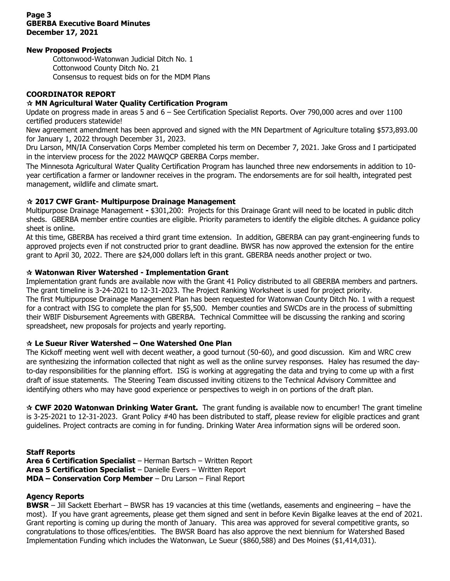## **Page 3 GBERBA Executive Board Minutes December 17, 2021**

## **New Proposed Projects**

Cottonwood-Watonwan Judicial Ditch No. 1 Cottonwood County Ditch No. 21 Consensus to request bids on for the MDM Plans

## **COORDINATOR REPORT**

## **MN Agricultural Water Quality Certification Program**

Update on progress made in areas 5 and 6 – See Certification Specialist Reports. Over 790,000 acres and over 1100 certified producers statewide!

New agreement amendment has been approved and signed with the MN Department of Agriculture totaling \$573,893.00 for January 1, 2022 through December 31, 2023.

Dru Larson, MN/IA Conservation Corps Member completed his term on December 7, 2021. Jake Gross and I participated in the interview process for the 2022 MAWQCP GBERBA Corps member.

The Minnesota Agricultural Water Quality Certification Program has launched three new endorsements in addition to 10 year certification a farmer or landowner receives in the program. The endorsements are for soil health, integrated pest management, wildlife and climate smart.

## **2017 CWF Grant- Multipurpose Drainage Management**

Multipurpose Drainage Management **-** \$301,200: Projects for this Drainage Grant will need to be located in public ditch sheds. GBERBA member entire counties are eligible. Priority parameters to identify the eligible ditches. A guidance policy sheet is online.

At this time, GBERBA has received a third grant time extension. In addition, GBERBA can pay grant-engineering funds to approved projects even if not constructed prior to grant deadline. BWSR has now approved the extension for the entire grant to April 30, 2022. There are \$24,000 dollars left in this grant. GBERBA needs another project or two.

## **Watonwan River Watershed - Implementation Grant**

Implementation grant funds are available now with the Grant 41 Policy distributed to all GBERBA members and partners. The grant timeline is 3-24-2021 to 12-31-2023. The Project Ranking Worksheet is used for project priority. The first Multipurpose Drainage Management Plan has been requested for Watonwan County Ditch No. 1 with a request for a contract with ISG to complete the plan for \$5,500. Member counties and SWCDs are in the process of submitting their WBIF Disbursement Agreements with GBERBA. Technical Committee will be discussing the ranking and scoring spreadsheet, new proposals for projects and yearly reporting.

## **Le Sueur River Watershed – One Watershed One Plan**

The Kickoff meeting went well with decent weather, a good turnout (50-60), and good discussion. Kim and WRC crew are synthesizing the information collected that night as well as the online survey responses. Haley has resumed the dayto-day responsibilities for the planning effort. ISG is working at aggregating the data and trying to come up with a first draft of issue statements. The Steering Team discussed inviting citizens to the Technical Advisory Committee and identifying others who may have good experience or perspectives to weigh in on portions of the draft plan.

 **CWF 2020 Watonwan Drinking Water Grant.** The grant funding is available now to encumber! The grant timeline is 3-25-2021 to 12-31-2023. Grant Policy #40 has been distributed to staff, please review for eligible practices and grant guidelines. Project contracts are coming in for funding. Drinking Water Area information signs will be ordered soon.

### **Staff Reports**

**Area 6 Certification Specialist** – Herman Bartsch – Written Report **Area 5 Certification Specialist** – Danielle Evers – Written Report **MDA – Conservation Corp Member** – Dru Larson – Final Report

### **Agency Reports**

**BWSR** – Jill Sackett Eberhart – BWSR has 19 vacancies at this time (wetlands, easements and engineering – have the most). If you have grant agreements, please get them signed and sent in before Kevin Bigalke leaves at the end of 2021. Grant reporting is coming up during the month of January. This area was approved for several competitive grants, so congratulations to those offices/entities. The BWSR Board has also approve the next biennium for Watershed Based Implementation Funding which includes the Watonwan, Le Sueur (\$860,588) and Des Moines (\$1,414,031).